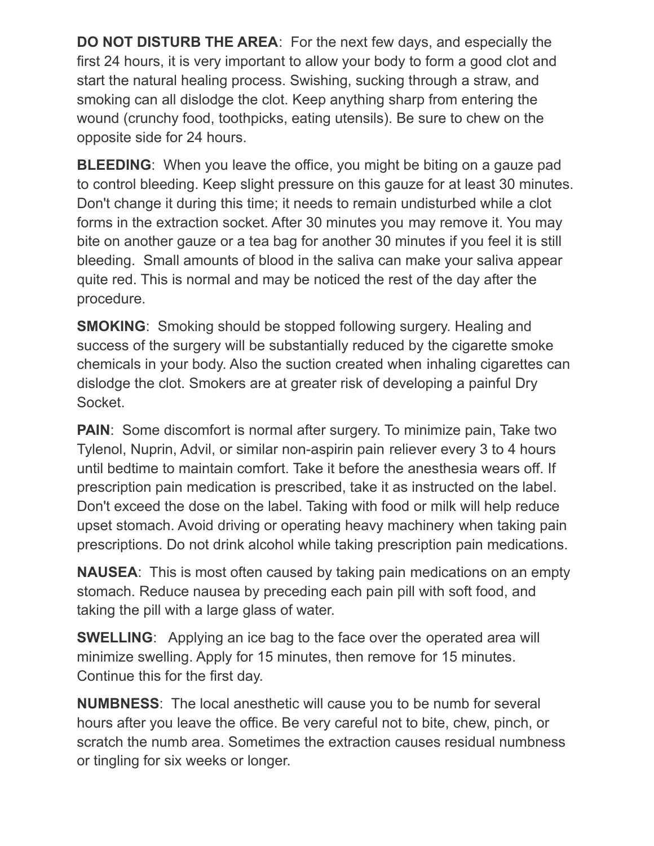**DO NOT DISTURB THE AREA**: For the next few days, and especially the first 24 hours, it is very important to allow your body to form a good clot and start the natural healing process. Swishing, sucking through a straw, and smoking can all dislodge the clot. Keep anything sharp from entering the wound (crunchy food, toothpicks, eating utensils). Be sure to chew on the opposite side for 24 hours.

**BLEEDING**: When you leave the office, you might be biting on a gauze pad to control bleeding. Keep slight pressure on this gauze for at least 30 minutes. Don't change it during this time; it needs to remain undisturbed while a clot forms in the extraction socket. After 30 minutes you may remove it. You may bite on another gauze or a tea bag for another 30 minutes if you feel it is still bleeding. Small amounts of blood in the saliva can make your saliva appear quite red. This is normal and may be noticed the rest of the day after the procedure.

**SMOKING**: Smoking should be stopped following surgery. Healing and success of the surgery will be substantially reduced by the cigarette smoke chemicals in your body. Also the suction created when inhaling cigarettes can dislodge the clot. Smokers are at greater risk of developing a painful Dry Socket.

**PAIN:** Some discomfort is normal after surgery. To minimize pain, Take two Tylenol, Nuprin, Advil, or similar non-aspirin pain reliever every 3 to 4 hours until bedtime to maintain comfort. Take it before the anesthesia wears off. If prescription pain medication is prescribed, take it as instructed on the label. Don't exceed the dose on the label. Taking with food or milk will help reduce upset stomach. Avoid driving or operating heavy machinery when taking pain prescriptions. Do not drink alcohol while taking prescription pain medications.

**NAUSEA**: This is most often caused by taking pain medications on an empty stomach. Reduce nausea by preceding each pain pill with soft food, and taking the pill with a large glass of water.

**SWELLING**: Applying an ice bag to the face over the operated area will minimize swelling. Apply for 15 minutes, then remove for 15 minutes. Continue this for the first day.

**NUMBNESS**: The local anesthetic will cause you to be numb for several hours after you leave the office. Be very careful not to bite, chew, pinch, or scratch the numb area. Sometimes the extraction causes residual numbness or tingling for six weeks or longer.